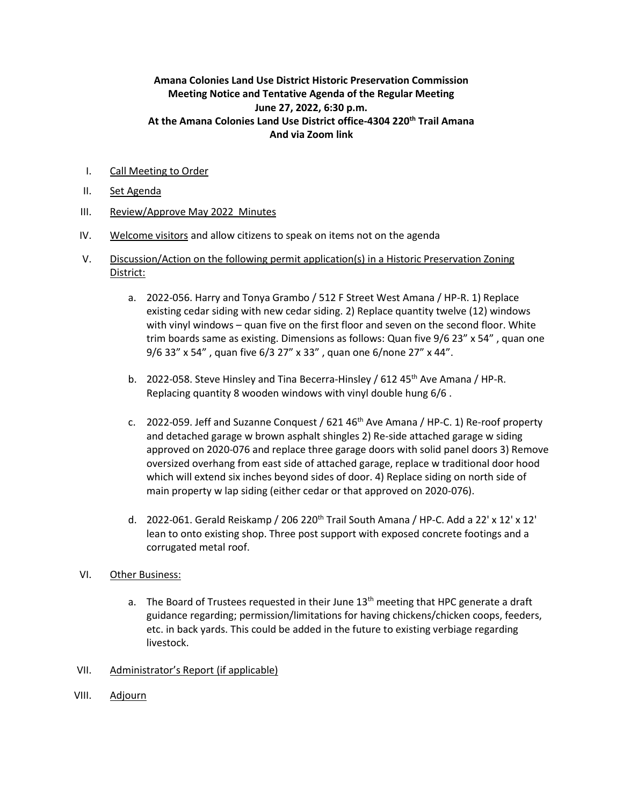## **Amana Colonies Land Use District Historic Preservation Commission Meeting Notice and Tentative Agenda of the Regular Meeting June 27, 2022, 6:30 p.m. At the Amana Colonies Land Use District office-4304 220th Trail Amana And via Zoom link**

- I. Call Meeting to Order
- II. Set Agenda
- III. Review/Approve May 2022 Minutes
- IV. Welcome visitors and allow citizens to speak on items not on the agenda
- V. Discussion/Action on the following permit application(s) in a Historic Preservation Zoning District:
	- a. 2022-056. Harry and Tonya Grambo / 512 F Street West Amana / HP-R. 1) Replace existing cedar siding with new cedar siding. 2) Replace quantity twelve (12) windows with vinyl windows – quan five on the first floor and seven on the second floor. White trim boards same as existing. Dimensions as follows: Quan five 9/6 23" x 54" , quan one 9/6 33" x 54" , quan five 6/3 27" x 33" , quan one 6/none 27" x 44".
	- b. 2022-058. Steve Hinsley and Tina Becerra-Hinsley / 612 45<sup>th</sup> Ave Amana / HP-R. Replacing quantity 8 wooden windows with vinyl double hung 6/6 .
	- c. 2022-059. Jeff and Suzanne Conquest /  $621.46<sup>th</sup>$  Ave Amana / HP-C. 1) Re-roof property and detached garage w brown asphalt shingles 2) Re-side attached garage w siding approved on 2020-076 and replace three garage doors with solid panel doors 3) Remove oversized overhang from east side of attached garage, replace w traditional door hood which will extend six inches beyond sides of door. 4) Replace siding on north side of main property w lap siding (either cedar or that approved on 2020-076).
	- d. 2022-061. Gerald Reiskamp / 206 220<sup>th</sup> Trail South Amana / HP-C. Add a 22' x 12' x 12' lean to onto existing shop. Three post support with exposed concrete footings and a corrugated metal roof.
- VI. Other Business:
	- a. The Board of Trustees requested in their June  $13<sup>th</sup>$  meeting that HPC generate a draft guidance regarding; permission/limitations for having chickens/chicken coops, feeders, etc. in back yards. This could be added in the future to existing verbiage regarding livestock.
- VII. Administrator's Report (if applicable)
- VIII. Adjourn